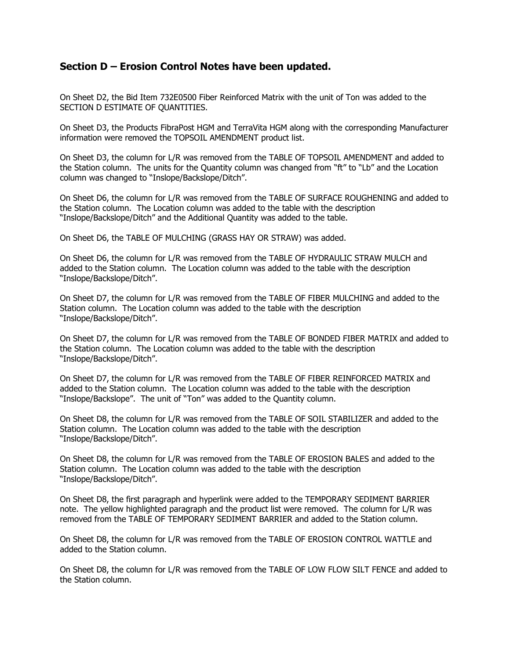## **Section D – Erosion Control Notes have been updated.**

On Sheet D2, the Bid Item 732E0500 Fiber Reinforced Matrix with the unit of Ton was added to the SECTION D ESTIMATE OF QUANTITIES.

On Sheet D3, the Products FibraPost HGM and TerraVita HGM along with the corresponding Manufacturer information were removed the TOPSOIL AMENDMENT product list.

On Sheet D3, the column for L/R was removed from the TABLE OF TOPSOIL AMENDMENT and added to the Station column. The units for the Quantity column was changed from "ft" to "Lb" and the Location column was changed to "Inslope/Backslope/Ditch".

On Sheet D6, the column for L/R was removed from the TABLE OF SURFACE ROUGHENING and added to the Station column. The Location column was added to the table with the description "Inslope/Backslope/Ditch" and the Additional Quantity was added to the table.

On Sheet D6, the TABLE OF MULCHING (GRASS HAY OR STRAW) was added.

On Sheet D6, the column for L/R was removed from the TABLE OF HYDRAULIC STRAW MULCH and added to the Station column. The Location column was added to the table with the description "Inslope/Backslope/Ditch".

On Sheet D7, the column for L/R was removed from the TABLE OF FIBER MULCHING and added to the Station column. The Location column was added to the table with the description "Inslope/Backslope/Ditch".

On Sheet D7, the column for L/R was removed from the TABLE OF BONDED FIBER MATRIX and added to the Station column. The Location column was added to the table with the description "Inslope/Backslope/Ditch".

On Sheet D7, the column for L/R was removed from the TABLE OF FIBER REINFORCED MATRIX and added to the Station column. The Location column was added to the table with the description "Inslope/Backslope". The unit of "Ton" was added to the Quantity column.

On Sheet D8, the column for L/R was removed from the TABLE OF SOIL STABILIZER and added to the Station column. The Location column was added to the table with the description "Inslope/Backslope/Ditch".

On Sheet D8, the column for L/R was removed from the TABLE OF EROSION BALES and added to the Station column. The Location column was added to the table with the description "Inslope/Backslope/Ditch".

On Sheet D8, the first paragraph and hyperlink were added to the TEMPORARY SEDIMENT BARRIER note. The yellow highlighted paragraph and the product list were removed. The column for L/R was removed from the TABLE OF TEMPORARY SEDIMENT BARRIER and added to the Station column.

On Sheet D8, the column for L/R was removed from the TABLE OF EROSION CONTROL WATTLE and added to the Station column.

On Sheet D8, the column for L/R was removed from the TABLE OF LOW FLOW SILT FENCE and added to the Station column.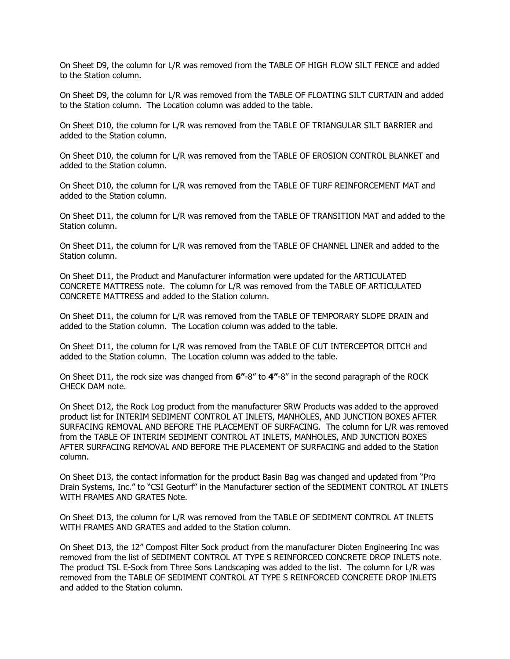On Sheet D9, the column for L/R was removed from the TABLE OF HIGH FLOW SILT FENCE and added to the Station column.

On Sheet D9, the column for L/R was removed from the TABLE OF FLOATING SILT CURTAIN and added to the Station column. The Location column was added to the table.

On Sheet D10, the column for L/R was removed from the TABLE OF TRIANGULAR SILT BARRIER and added to the Station column.

On Sheet D10, the column for L/R was removed from the TABLE OF EROSION CONTROL BLANKET and added to the Station column.

On Sheet D10, the column for L/R was removed from the TABLE OF TURF REINFORCEMENT MAT and added to the Station column.

On Sheet D11, the column for L/R was removed from the TABLE OF TRANSITION MAT and added to the Station column.

On Sheet D11, the column for L/R was removed from the TABLE OF CHANNEL LINER and added to the Station column.

On Sheet D11, the Product and Manufacturer information were updated for the ARTICULATED CONCRETE MATTRESS note. The column for L/R was removed from the TABLE OF ARTICULATED CONCRETE MATTRESS and added to the Station column.

On Sheet D11, the column for L/R was removed from the TABLE OF TEMPORARY SLOPE DRAIN and added to the Station column. The Location column was added to the table.

On Sheet D11, the column for L/R was removed from the TABLE OF CUT INTERCEPTOR DITCH and added to the Station column. The Location column was added to the table.

On Sheet D11, the rock size was changed from **6"**-8" to **4"**-8" in the second paragraph of the ROCK CHECK DAM note.

On Sheet D12, the Rock Log product from the manufacturer SRW Products was added to the approved product list for INTERIM SEDIMENT CONTROL AT INLETS, MANHOLES, AND JUNCTION BOXES AFTER SURFACING REMOVAL AND BEFORE THE PLACEMENT OF SURFACING. The column for L/R was removed from the TABLE OF INTERIM SEDIMENT CONTROL AT INLETS, MANHOLES, AND JUNCTION BOXES AFTER SURFACING REMOVAL AND BEFORE THE PLACEMENT OF SURFACING and added to the Station column.

On Sheet D13, the contact information for the product Basin Bag was changed and updated from "Pro Drain Systems, Inc." to "CSI Geoturf" in the Manufacturer section of the SEDIMENT CONTROL AT INLETS WITH FRAMES AND GRATES Note.

On Sheet D13, the column for L/R was removed from the TABLE OF SEDIMENT CONTROL AT INLETS WITH FRAMES AND GRATES and added to the Station column.

On Sheet D13, the 12" Compost Filter Sock product from the manufacturer Dioten Engineering Inc was removed from the list of SEDIMENT CONTROL AT TYPE S REINFORCED CONCRETE DROP INLETS note. The product TSL E-Sock from Three Sons Landscaping was added to the list. The column for L/R was removed from the TABLE OF SEDIMENT CONTROL AT TYPE S REINFORCED CONCRETE DROP INLETS and added to the Station column.